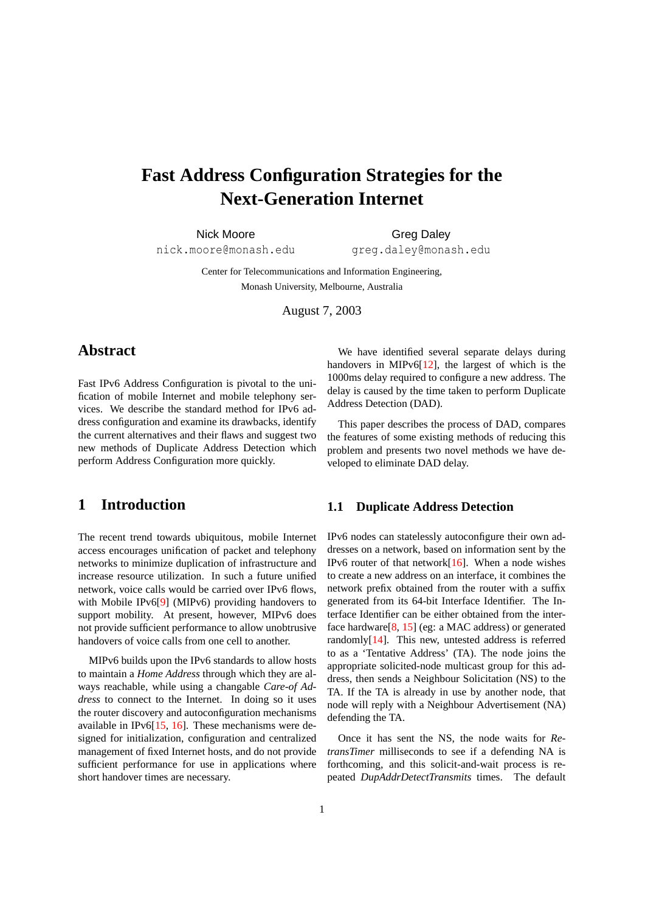# **Fast Address Configuration Strategies for the Next-Generation Internet**

Nick Moore **Greg Daley** 

nick.moore@monash.edu greg.daley@monash.edu

Center for Telecommunications and Information Engineering, Monash University, Melbourne, Australia

August 7, 2003

# **Abstract**

Fast IPv6 Address Configuration is pivotal to the unification of mobile Internet and mobile telephony services. We describe the standard method for IPv6 address configuration and examine its drawbacks, identify the current alternatives and their flaws and suggest two new methods of Duplicate Address Detection which perform Address Configuration more quickly.

## **1 Introduction**

The recent trend towards ubiquitous, mobile Internet access encourages unification of packet and telephony networks to minimize duplication of infrastructure and increase resource utilization. In such a future unified network, voice calls would be carried over IPv6 flows, with Mobile IPv6[\[9\]](#page-4-0) (MIPv6) providing handovers to support mobility. At present, however, MIPv6 does not provide sufficient performance to allow unobtrusive handovers of voice calls from one cell to another.

MIPv6 builds upon the IPv6 standards to allow hosts to maintain a *Home Address* through which they are always reachable, while using a changable *Care-of Address* to connect to the Internet. In doing so it uses the router discovery and autoconfiguration mechanisms available in IPv6 $[15, 16]$  $[15, 16]$  $[15, 16]$ . These mechanisms were designed for initialization, configuration and centralized management of fixed Internet hosts, and do not provide sufficient performance for use in applications where short handover times are necessary.

We have identified several separate delays during handovers in MIPv6[\[12\]](#page-4-3), the largest of which is the 1000ms delay required to configure a new address. The delay is caused by the time taken to perform Duplicate Address Detection (DAD).

This paper describes the process of DAD, compares the features of some existing methods of reducing this problem and presents two novel methods we have developed to eliminate DAD delay.

#### **1.1 Duplicate Address Detection**

IPv6 nodes can statelessly autoconfigure their own addresses on a network, based on information sent by the IPv6 router of that network $[16]$ . When a node wishes to create a new address on an interface, it combines the network prefix obtained from the router with a suffix generated from its 64-bit Interface Identifier. The Interface Identifier can be either obtained from the interface hardware[\[8,](#page-4-4) [15\]](#page-4-1) (eg: a MAC address) or generated randomly[\[14\]](#page-4-5). This new, untested address is referred to as a 'Tentative Address' (TA). The node joins the appropriate solicited-node multicast group for this address, then sends a Neighbour Solicitation (NS) to the TA. If the TA is already in use by another node, that node will reply with a Neighbour Advertisement (NA) defending the TA.

Once it has sent the NS, the node waits for *RetransTimer* milliseconds to see if a defending NA is forthcoming, and this solicit-and-wait process is repeated *DupAddrDetectTransmits* times. The default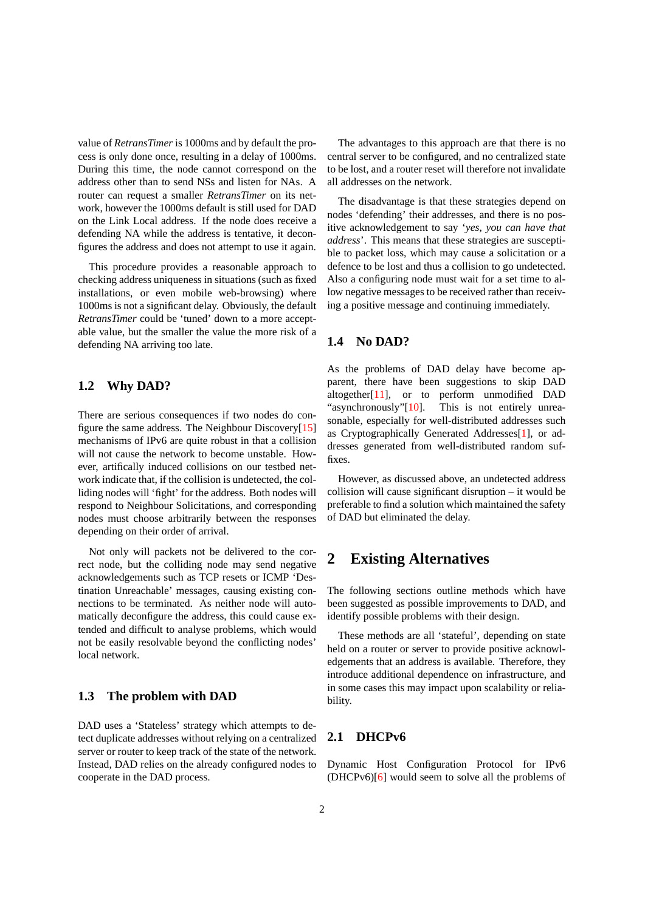value of *RetransTimer* is 1000ms and by default the process is only done once, resulting in a delay of 1000ms. During this time, the node cannot correspond on the address other than to send NSs and listen for NAs. A router can request a smaller *RetransTimer* on its network, however the 1000ms default is still used for DAD on the Link Local address. If the node does receive a defending NA while the address is tentative, it deconfigures the address and does not attempt to use it again.

This procedure provides a reasonable approach to checking address uniqueness in situations (such as fixed installations, or even mobile web-browsing) where 1000ms is not a significant delay. Obviously, the default *RetransTimer* could be 'tuned' down to a more acceptable value, but the smaller the value the more risk of a defending NA arriving too late.

#### **1.2 Why DAD?**

There are serious consequences if two nodes do configure the same address. The Neighbour Discovery[\[15\]](#page-4-1) mechanisms of IPv6 are quite robust in that a collision will not cause the network to become unstable. However, artifically induced collisions on our testbed network indicate that, if the collision is undetected, the colliding nodes will 'fight' for the address. Both nodes will respond to Neighbour Solicitations, and corresponding nodes must choose arbitrarily between the responses depending on their order of arrival.

Not only will packets not be delivered to the correct node, but the colliding node may send negative acknowledgements such as TCP resets or ICMP 'Destination Unreachable' messages, causing existing connections to be terminated. As neither node will automatically deconfigure the address, this could cause extended and difficult to analyse problems, which would not be easily resolvable beyond the conflicting nodes' local network.

#### **1.3 The problem with DAD**

DAD uses a 'Stateless' strategy which attempts to detect duplicate addresses without relying on a centralized server or router to keep track of the state of the network. Instead, DAD relies on the already configured nodes to cooperate in the DAD process.

The advantages to this approach are that there is no central server to be configured, and no centralized state to be lost, and a router reset will therefore not invalidate all addresses on the network.

The disadvantage is that these strategies depend on nodes 'defending' their addresses, and there is no positive acknowledgement to say '*yes, you can have that address*'. This means that these strategies are susceptible to packet loss, which may cause a solicitation or a defence to be lost and thus a collision to go undetected. Also a configuring node must wait for a set time to allow negative messages to be received rather than receiving a positive message and continuing immediately.

#### **1.4 No DAD?**

As the problems of DAD delay have become apparent, there have been suggestions to skip DAD altogether $[11]$ , or to perform unmodified DAD "asynchronously"[\[10\]](#page-4-7). This is not entirely unreasonable, especially for well-distributed addresses such as Cryptographically Generated Addresses[\[1\]](#page-4-8), or addresses generated from well-distributed random suffixes.

However, as discussed above, an undetected address collision will cause significant disruption – it would be preferable to find a solution which maintained the safety of DAD but eliminated the delay.

## **2 Existing Alternatives**

The following sections outline methods which have been suggested as possible improvements to DAD, and identify possible problems with their design.

These methods are all 'stateful', depending on state held on a router or server to provide positive acknowledgements that an address is available. Therefore, they introduce additional dependence on infrastructure, and in some cases this may impact upon scalability or reliability.

#### **2.1 DHCPv6**

Dynamic Host Configuration Protocol for IPv6 (DHCPv6)[\[6\]](#page-4-9) would seem to solve all the problems of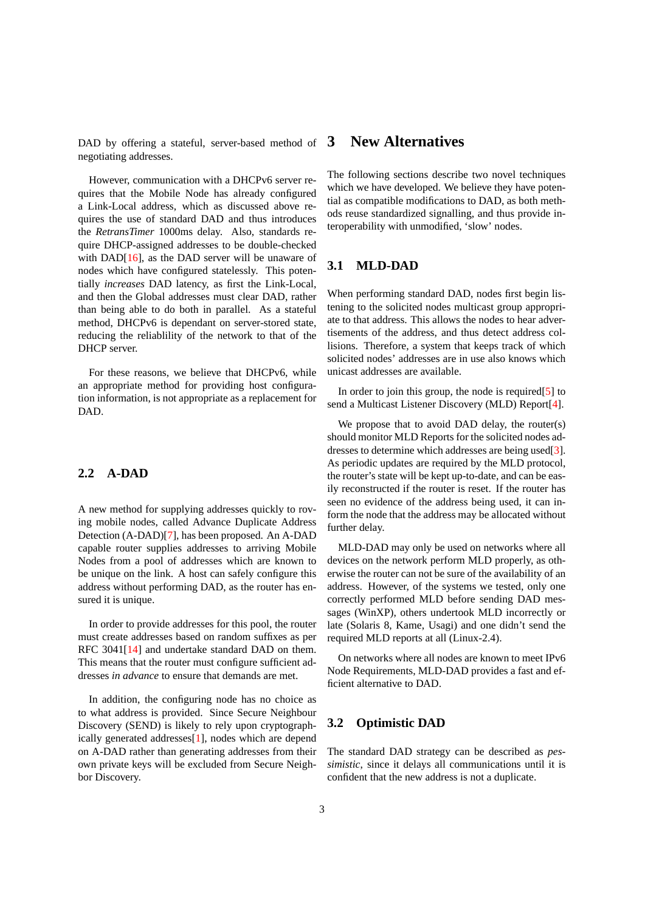DAD by offering a stateful, server-based method of negotiating addresses.

However, communication with a DHCPv6 server requires that the Mobile Node has already configured a Link-Local address, which as discussed above requires the use of standard DAD and thus introduces the *RetransTimer* 1000ms delay. Also, standards require DHCP-assigned addresses to be double-checked with DAD[\[16\]](#page-4-2), as the DAD server will be unaware of nodes which have configured statelessly. This potentially *increases* DAD latency, as first the Link-Local, and then the Global addresses must clear DAD, rather than being able to do both in parallel. As a stateful method, DHCPv6 is dependant on server-stored state, reducing the reliablility of the network to that of the DHCP server.

For these reasons, we believe that DHCPv6, while an appropriate method for providing host configuration information, is not appropriate as a replacement for DAD.

#### **2.2 A-DAD**

A new method for supplying addresses quickly to roving mobile nodes, called Advance Duplicate Address Detection (A-DAD)[\[7\]](#page-4-10), has been proposed. An A-DAD capable router supplies addresses to arriving Mobile Nodes from a pool of addresses which are known to be unique on the link. A host can safely configure this address without performing DAD, as the router has ensured it is unique.

In order to provide addresses for this pool, the router must create addresses based on random suffixes as per RFC 3041[\[14\]](#page-4-5) and undertake standard DAD on them. This means that the router must configure sufficient addresses *in advance* to ensure that demands are met.

In addition, the configuring node has no choice as to what address is provided. Since Secure Neighbour Discovery (SEND) is likely to rely upon cryptographically generated addresses[\[1\]](#page-4-8), nodes which are depend on A-DAD rather than generating addresses from their own private keys will be excluded from Secure Neighbor Discovery.

## **3 New Alternatives**

The following sections describe two novel techniques which we have developed. We believe they have potential as compatible modifications to DAD, as both methods reuse standardized signalling, and thus provide interoperability with unmodified, 'slow' nodes.

#### **3.1 MLD-DAD**

When performing standard DAD, nodes first begin listening to the solicited nodes multicast group appropriate to that address. This allows the nodes to hear advertisements of the address, and thus detect address collisions. Therefore, a system that keeps track of which solicited nodes' addresses are in use also knows which unicast addresses are available.

In order to join this group, the node is required  $[5]$  to send a Multicast Listener Discovery (MLD) Report[\[4\]](#page-4-12).

We propose that to avoid DAD delay, the router(s) should monitor MLD Reports for the solicited nodes addresses to determine which addresses are being used[\[3\]](#page-4-13). As periodic updates are required by the MLD protocol, the router's state will be kept up-to-date, and can be easily reconstructed if the router is reset. If the router has seen no evidence of the address being used, it can inform the node that the address may be allocated without further delay.

MLD-DAD may only be used on networks where all devices on the network perform MLD properly, as otherwise the router can not be sure of the availability of an address. However, of the systems we tested, only one correctly performed MLD before sending DAD messages (WinXP), others undertook MLD incorrectly or late (Solaris 8, Kame, Usagi) and one didn't send the required MLD reports at all (Linux-2.4).

On networks where all nodes are known to meet IPv6 Node Requirements, MLD-DAD provides a fast and efficient alternative to DAD.

#### **3.2 Optimistic DAD**

The standard DAD strategy can be described as *pessimistic*, since it delays all communications until it is confident that the new address is not a duplicate.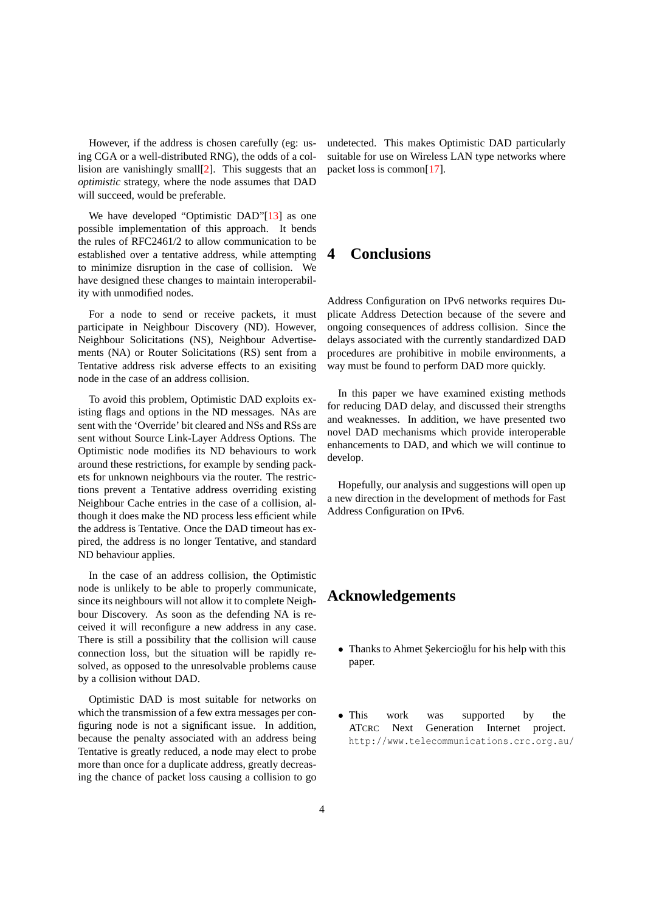However, if the address is chosen carefully (eg: using CGA or a well-distributed RNG), the odds of a collision are vanishingly small[\[2\]](#page-4-14). This suggests that an *optimistic* strategy, where the node assumes that DAD will succeed, would be preferable.

We have developed "Optimistic DAD"[\[13\]](#page-4-15) as one possible implementation of this approach. It bends the rules of RFC2461/2 to allow communication to be established over a tentative address, while attempting to minimize disruption in the case of collision. We have designed these changes to maintain interoperability with unmodified nodes.

For a node to send or receive packets, it must participate in Neighbour Discovery (ND). However, Neighbour Solicitations (NS), Neighbour Advertisements (NA) or Router Solicitations (RS) sent from a Tentative address risk adverse effects to an exisiting node in the case of an address collision.

To avoid this problem, Optimistic DAD exploits existing flags and options in the ND messages. NAs are sent with the 'Override' bit cleared and NSs and RSs are sent without Source Link-Layer Address Options. The Optimistic node modifies its ND behaviours to work around these restrictions, for example by sending packets for unknown neighbours via the router. The restrictions prevent a Tentative address overriding existing Neighbour Cache entries in the case of a collision, although it does make the ND process less efficient while the address is Tentative. Once the DAD timeout has expired, the address is no longer Tentative, and standard ND behaviour applies.

In the case of an address collision, the Optimistic node is unlikely to be able to properly communicate, since its neighbours will not allow it to complete Neighbour Discovery. As soon as the defending NA is received it will reconfigure a new address in any case. There is still a possibility that the collision will cause connection loss, but the situation will be rapidly resolved, as opposed to the unresolvable problems cause by a collision without DAD.

Optimistic DAD is most suitable for networks on which the transmission of a few extra messages per configuring node is not a significant issue. In addition, because the penalty associated with an address being Tentative is greatly reduced, a node may elect to probe more than once for a duplicate address, greatly decreasing the chance of packet loss causing a collision to go undetected. This makes Optimistic DAD particularly suitable for use on Wireless LAN type networks where packet loss is common[\[17\]](#page-4-16).

# **4 Conclusions**

Address Configuration on IPv6 networks requires Duplicate Address Detection because of the severe and ongoing consequences of address collision. Since the delays associated with the currently standardized DAD procedures are prohibitive in mobile environments, a way must be found to perform DAD more quickly.

In this paper we have examined existing methods for reducing DAD delay, and discussed their strengths and weaknesses. In addition, we have presented two novel DAD mechanisms which provide interoperable enhancements to DAD, and which we will continue to develop.

Hopefully, our analysis and suggestions will open up a new direction in the development of methods for Fast Address Configuration on IPv6.

## **Acknowledgements**

- Thanks to Ahmet Sekercioglu for his help with this paper.
- This work was supported by the ATCRC Next Generation Internet project. http://www.telecommunications.crc.org.au/